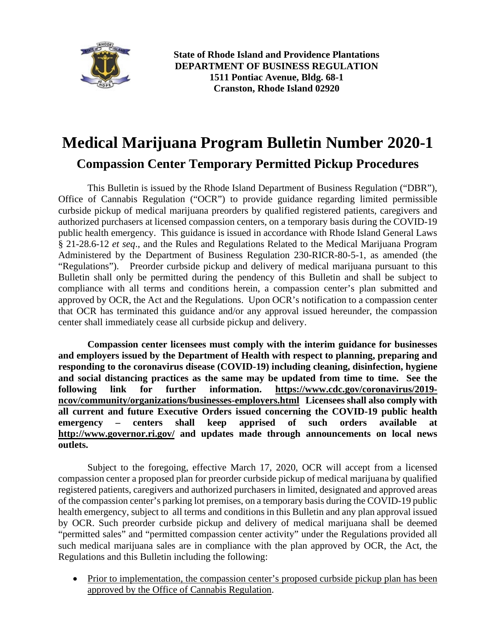

**State of Rhode Island and Providence Plantations DEPARTMENT OF BUSINESS REGULATION 1511 Pontiac Avenue, Bldg. 68-1 Cranston, Rhode Island 02920**

## **Medical Marijuana Program Bulletin Number 2020-1 Compassion Center Temporary Permitted Pickup Procedures**

This Bulletin is issued by the Rhode Island Department of Business Regulation ("DBR"), Office of Cannabis Regulation ("OCR") to provide guidance regarding limited permissible curbside pickup of medical marijuana preorders by qualified registered patients, caregivers and authorized purchasers at licensed compassion centers, on a temporary basis during the COVID-19 public health emergency. This guidance is issued in accordance with Rhode Island General Laws § 21-28.6-12 *et seq*., and the Rules and Regulations Related to the Medical Marijuana Program Administered by the Department of Business Regulation 230-RICR-80-5-1, as amended (the "Regulations"). Preorder curbside pickup and delivery of medical marijuana pursuant to this Bulletin shall only be permitted during the pendency of this Bulletin and shall be subject to compliance with all terms and conditions herein, a compassion center's plan submitted and approved by OCR, the Act and the Regulations. Upon OCR's notification to a compassion center that OCR has terminated this guidance and/or any approval issued hereunder, the compassion center shall immediately cease all curbside pickup and delivery.

**Compassion center licensees must comply with the interim guidance for businesses and employers issued by the Department of Health with respect to planning, preparing and responding to the coronavirus disease (COVID-19) including cleaning, disinfection, hygiene and social distancing practices as the same may be updated from time to time. See the following link for further information. [https://www.cdc.gov/coronavirus/2019](https://www.cdc.gov/coronavirus/2019-ncov/community/organizations/businesses-employers.html) [ncov/community/organizations/businesses-employers.html](https://www.cdc.gov/coronavirus/2019-ncov/community/organizations/businesses-employers.html) Licensees shall also comply with all current and future Executive Orders issued concerning the COVID-19 public health emergency – centers shall keep apprised of such orders available at <http://www.governor.ri.gov/> and updates made through announcements on local news outlets.**

Subject to the foregoing, effective March 17, 2020, OCR will accept from a licensed compassion center a proposed plan for preorder curbside pickup of medical marijuana by qualified registered patients, caregivers and authorized purchasers in limited, designated and approved areas of the compassion center's parking lot premises, on a temporary basis during the COVID-19 public health emergency, subject to all terms and conditions in this Bulletin and any plan approval issued by OCR. Such preorder curbside pickup and delivery of medical marijuana shall be deemed "permitted sales" and "permitted compassion center activity" under the Regulations provided all such medical marijuana sales are in compliance with the plan approved by OCR, the Act, the Regulations and this Bulletin including the following:

• Prior to implementation, the compassion center's proposed curbside pickup plan has been approved by the Office of Cannabis Regulation.